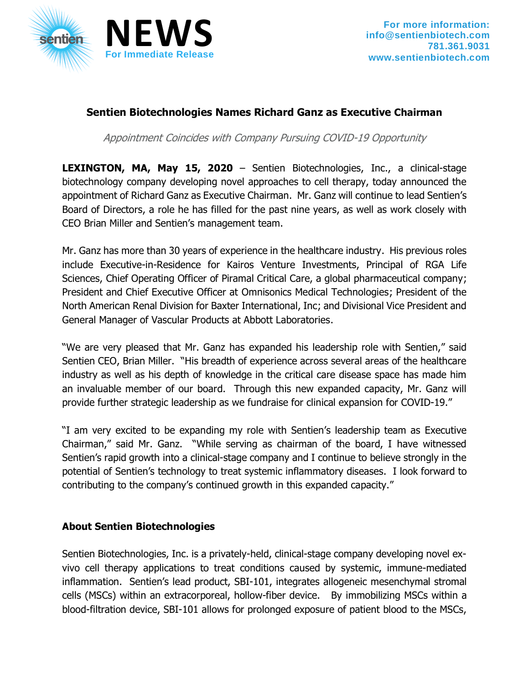

## **Sentien Biotechnologies Names Richard Ganz as Executive Chairman**

Appointment Coincides with Company Pursuing COVID-19 Opportunity

**LEXINGTON, MA, May 15, 2020** – Sentien Biotechnologies, Inc., a clinical-stage biotechnology company developing novel approaches to cell therapy, today announced the appointment of Richard Ganz as Executive Chairman. Mr. Ganz will continue to lead Sentien's Board of Directors, a role he has filled for the past nine years, as well as work closely with CEO Brian Miller and Sentien's management team.

Mr. Ganz has more than 30 years of experience in the healthcare industry. His previous roles include Executive-in-Residence for Kairos Venture Investments, Principal of RGA Life Sciences, Chief Operating Officer of Piramal Critical Care, a global pharmaceutical company; President and Chief Executive Officer at Omnisonics Medical Technologies; President of the North American Renal Division for Baxter International, Inc; and Divisional Vice President and General Manager of Vascular Products at Abbott Laboratories.

"We are very pleased that Mr. Ganz has expanded his leadership role with Sentien," said Sentien CEO, Brian Miller. "His breadth of experience across several areas of the healthcare industry as well as his depth of knowledge in the critical care disease space has made him an invaluable member of our board. Through this new expanded capacity, Mr. Ganz will provide further strategic leadership as we fundraise for clinical expansion for COVID-19."

"I am very excited to be expanding my role with Sentien's leadership team as Executive Chairman," said Mr. Ganz. "While serving as chairman of the board, I have witnessed Sentien's rapid growth into a clinical-stage company and I continue to believe strongly in the potential of Sentien's technology to treat systemic inflammatory diseases. I look forward to contributing to the company's continued growth in this expanded capacity."

## **About Sentien Biotechnologies**

Sentien Biotechnologies, Inc. is a privately-held, clinical-stage company developing novel exvivo cell therapy applications to treat conditions caused by systemic, immune-mediated inflammation. Sentien's lead product, SBI-101, integrates allogeneic mesenchymal stromal cells (MSCs) within an extracorporeal, hollow-fiber device. By immobilizing MSCs within a blood-filtration device, SBI-101 allows for prolonged exposure of patient blood to the MSCs,